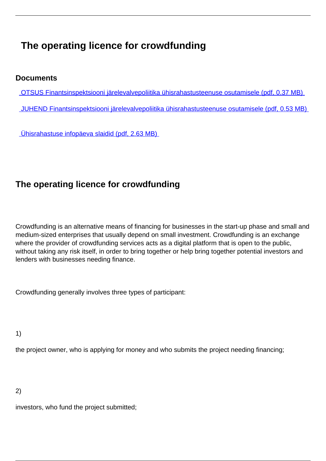# **The operating licence for crowdfunding**

# **Documents**

- OTSUS Finantsinspektsiooni järelevalvepoliitika ühisrahastusteenuse osutamisele (pdf, 0.37 MB)
- JUHEND Finantsinspektsiooni järelevalvepoliitika ühisrahastusteenuse osutamisele (pdf, 0.53 MB)

Ühisrahastuse infopäeva slaidid (pdf, 2.63 MB)

# **The operating licence for crowdfunding**

Crowdfunding is an alternative means of financing for businesses in the start-up phase and small and medium-sized enterprises that usually depend on small investment. Crowdfunding is an exchange where the provider of crowdfunding services acts as a digital platform that is open to the public, without taking any risk itself, in order to bring together or help bring together potential investors and lenders with businesses needing finance.

Crowdfunding generally involves three types of participant:

1)

the project owner, who is applying for money and who submits the project needing financing;

2)

investors, who fund the project submitted;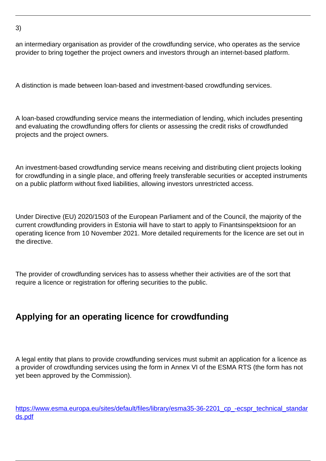an intermediary organisation as provider of the crowdfunding service, who operates as the service provider to bring together the project owners and investors through an internet-based platform.

A distinction is made between loan-based and investment-based crowdfunding services.

A loan-based crowdfunding service means the intermediation of lending, which includes presenting and evaluating the crowdfunding offers for clients or assessing the credit risks of crowdfunded projects and the project owners.

An investment-based crowdfunding service means receiving and distributing client projects looking for crowdfunding in a single place, and offering freely transferable securities or accepted instruments on a public platform without fixed liabilities, allowing investors unrestricted access.

Under Directive (EU) 2020/1503 of the European Parliament and of the Council, the majority of the current crowdfunding providers in Estonia will have to start to apply to Finantsinspektsioon for an operating licence from 10 November 2021. More detailed requirements for the licence are set out in the directive.

The provider of crowdfunding services has to assess whether their activities are of the sort that require a licence or registration for offering securities to the public.

# **Applying for an operating licence for crowdfunding**

A legal entity that plans to provide crowdfunding services must submit an application for a licence as a provider of crowdfunding services using the form in Annex VI of the ESMA RTS (the form has not yet been approved by the Commission).

[https://www.esma.europa.eu/sites/default/files/library/esma35-36-2201\\_cp\\_-ecspr\\_technical\\_standar](https://www.esma.europa.eu/sites/default/files/library/esma35-36-2201_cp_-ecspr_technical_standards.pdf) [ds.pdf](https://www.esma.europa.eu/sites/default/files/library/esma35-36-2201_cp_-ecspr_technical_standards.pdf)

```
3)
```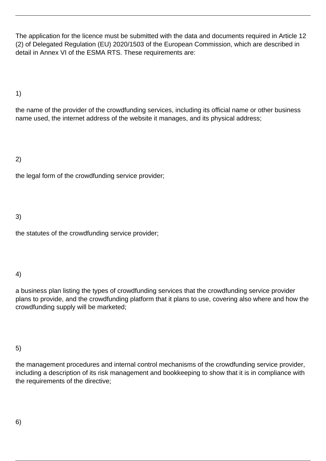The application for the licence must be submitted with the data and documents required in Article 12 (2) of Delegated Regulation (EU) 2020/1503 of the European Commission, which are described in detail in Annex VI of the ESMA RTS. These requirements are:

1)

the name of the provider of the crowdfunding services, including its official name or other business name used, the internet address of the website it manages, and its physical address;

2)

the legal form of the crowdfunding service provider;

3)

the statutes of the crowdfunding service provider;

4)

a business plan listing the types of crowdfunding services that the crowdfunding service provider plans to provide, and the crowdfunding platform that it plans to use, covering also where and how the crowdfunding supply will be marketed;

5)

the management procedures and internal control mechanisms of the crowdfunding service provider, including a description of its risk management and bookkeeping to show that it is in compliance with the requirements of the directive;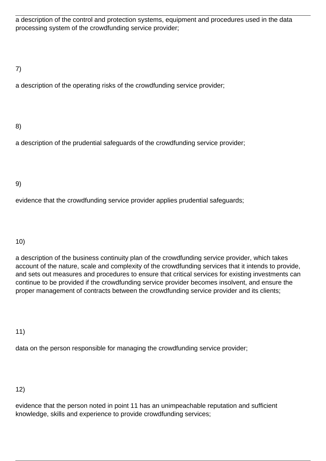a description of the control and protection systems, equipment and procedures used in the data processing system of the crowdfunding service provider;

# 7)

a description of the operating risks of the crowdfunding service provider;

# 8)

a description of the prudential safeguards of the crowdfunding service provider;

## 9)

evidence that the crowdfunding service provider applies prudential safeguards;

#### 10)

a description of the business continuity plan of the crowdfunding service provider, which takes account of the nature, scale and complexity of the crowdfunding services that it intends to provide, and sets out measures and procedures to ensure that critical services for existing investments can continue to be provided if the crowdfunding service provider becomes insolvent, and ensure the proper management of contracts between the crowdfunding service provider and its clients;

#### 11)

data on the person responsible for managing the crowdfunding service provider;

#### 12)

evidence that the person noted in point 11 has an unimpeachable reputation and sufficient knowledge, skills and experience to provide crowdfunding services;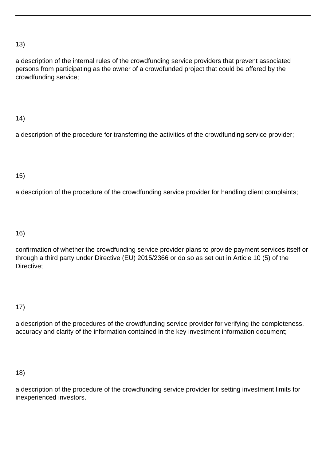## 13)

a description of the internal rules of the crowdfunding service providers that prevent associated persons from participating as the owner of a crowdfunded project that could be offered by the crowdfunding service;

## 14)

a description of the procedure for transferring the activities of the crowdfunding service provider;

# 15)

a description of the procedure of the crowdfunding service provider for handling client complaints;

### 16)

confirmation of whether the crowdfunding service provider plans to provide payment services itself or through a third party under Directive (EU) 2015/2366 or do so as set out in Article 10 (5) of the Directive;

# 17)

a description of the procedures of the crowdfunding service provider for verifying the completeness, accuracy and clarity of the information contained in the key investment information document;

#### 18)

a description of the procedure of the crowdfunding service provider for setting investment limits for inexperienced investors.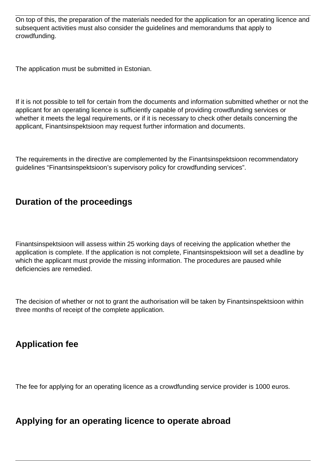On top of this, the preparation of the materials needed for the application for an operating licence and subsequent activities must also consider the guidelines and memorandums that apply to crowdfunding.

The application must be submitted in Estonian.

If it is not possible to tell for certain from the documents and information submitted whether or not the applicant for an operating licence is sufficiently capable of providing crowdfunding services or whether it meets the legal requirements, or if it is necessary to check other details concerning the applicant, Finantsinspektsioon may request further information and documents.

The requirements in the directive are complemented by the Finantsinspektsioon recommendatory guidelines "Finantsinspektsioon's supervisory policy for crowdfunding services".

# **Duration of the proceedings**

Finantsinspektsioon will assess within 25 working days of receiving the application whether the application is complete. If the application is not complete, Finantsinspektsioon will set a deadline by which the applicant must provide the missing information. The procedures are paused while deficiencies are remedied.

The decision of whether or not to grant the authorisation will be taken by Finantsinspektsioon within three months of receipt of the complete application.

# **Application fee**

The fee for applying for an operating licence as a crowdfunding service provider is 1000 euros.

# **Applying for an operating licence to operate abroad**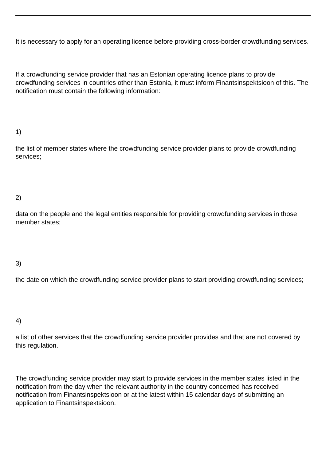It is necessary to apply for an operating licence before providing cross-border crowdfunding services.

If a crowdfunding service provider that has an Estonian operating licence plans to provide crowdfunding services in countries other than Estonia, it must inform Finantsinspektsioon of this. The notification must contain the following information:

## 1)

the list of member states where the crowdfunding service provider plans to provide crowdfunding services;

# 2)

data on the people and the legal entities responsible for providing crowdfunding services in those member states;

#### 3)

the date on which the crowdfunding service provider plans to start providing crowdfunding services;

#### 4)

a list of other services that the crowdfunding service provider provides and that are not covered by this regulation.

The crowdfunding service provider may start to provide services in the member states listed in the notification from the day when the relevant authority in the country concerned has received notification from Finantsinspektsioon or at the latest within 15 calendar days of submitting an application to Finantsinspektsioon.